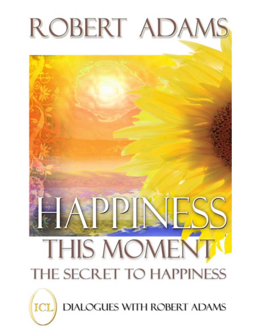

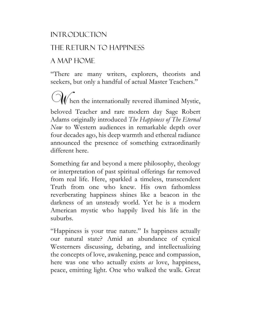#### **INTRODUCTION**

### The Return to Happiness

### A Map Home

"There are many writers, explorers, theorists and seekers, but only a handful of actual Master Teachers."

 $\mathbb{C}$  hen the internationally revered illumined Mystic, beloved Teacher and rare modern day Sage Robert Adams originally introduced *The Happiness of The Eternal Now* to Western audiences in remarkable depth over four decades ago, his deep warmth and ethereal radiance announced the presence of something extraordinarily different here.

Something far and beyond a mere philosophy, theology or interpretation of past spiritual offerings far removed from real life. Here, sparkled a timeless, transcendent Truth from one who knew. His own fathomless reverberating happiness shines like a beacon in the darkness of an unsteady world. Yet he is a modern American mystic who happily lived his life in the suburbs.

"Happiness is your true nature." Is happiness actually our natural state? Amid an abundance of cynical Westerners discussing, debating, and intellectualizing the concepts of love, awakening, peace and compassion, here was one who actually exists *as* love, happiness, peace, emitting light. One who walked the walk. Great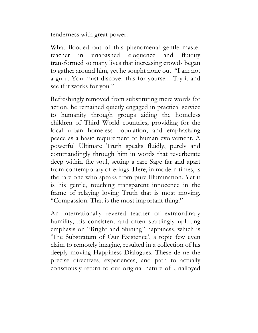tenderness with great power.

What flooded out of this phenomenal gentle master teacher in unabashed eloquence and fluidity transformed so many lives that increasing crowds began to gather around him, yet he sought none out. "I am not a guru. You must discover this for yourself. Try it and see if it works for you."

Refreshingly removed from substituting mere words for action, he remained quietly engaged in practical service to humanity through groups aiding the homeless children of Third World countries, providing for the local urban homeless population, and emphasizing peace as a basic requirement of human evolvement. A powerful Ultimate Truth speaks fluidly, purely and commandingly through him in words that reverberate deep within the soul, setting a rare Sage far and apart from contemporary offerings. Here, in modern times, is the rare one who speaks from pure Illumination. Yet it is his gentle, touching transparent innocence in the frame of relaying loving Truth that is most moving. "Compassion. That is the most important thing."

An internationally revered teacher of extraordinary humility, his consistent and often startlingly uplifting emphasis on "Bright and Shining" happiness, which is 'The Substratum of Our Existence', a topic few even claim to remotely imagine, resulted in a collection of his deeply moving Happiness Dialogues. These de ne the precise directives, experiences, and path to actually consciously return to our original nature of Unalloyed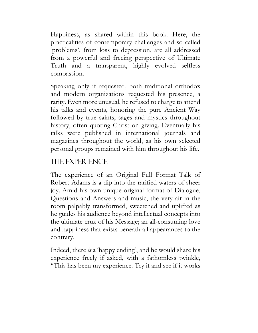Happiness, as shared within this book. Here, the practicalities of contemporary challenges and so called 'problems', from loss to depression, are all addressed from a powerful and freeing perspective of Ultimate Truth and a transparent, highly evolved selfless compassion.

Speaking only if requested, both traditional orthodox and modern organizations requested his presence, a rarity. Even more unusual, he refused to charge to attend his talks and events, honoring the pure Ancient Way followed by true saints, sages and mystics throughout history, often quoting Christ on giving. Eventually his talks were published in international journals and magazines throughout the world, as his own selected personal groups remained with him throughout his life.

#### The Experience

The experience of an Original Full Format Talk of Robert Adams is a dip into the rarified waters of sheer joy. Amid his own unique original format of Dialogue, Questions and Answers and music, the very air in the room palpably transformed, sweetened and uplifted as he guides his audience beyond intellectual concepts into the ultimate crux of his Message; an all-consuming love and happiness that exists beneath all appearances to the contrary.

Indeed, there *is* a 'happy ending', and he would share his experience freely if asked, with a fathomless twinkle, "This has been my experience. Try it and see if it works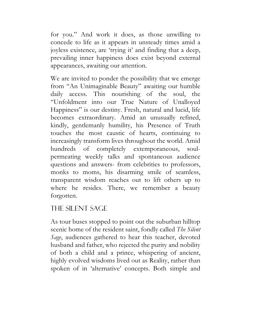for you." And work it does, as those unwilling to concede to life as it appears in unsteady times amid a joyless existence, are 'trying it' and finding that a deep, prevailing inner happiness does exist beyond external appearances, awaiting our attention.

We are invited to ponder the possibility that we emerge from "An Unimaginable Beauty" awaiting our humble daily access. This nourishing of the soul, the "Unfoldment into our True Nature of Unalloyed Happiness" is our destiny. Fresh, natural and lucid, life becomes extraordinary. Amid an unusually refined, kindly, gentlemanly humility, his Presence of Truth touches the most caustic of hearts, continuing to increasingly transform lives throughout the world. Amid hundreds of completely extemporaneous, soulpermeating weekly talks and spontaneous audience questions and answers- from celebrities to professors, monks to moms, his disarming smile of seamless, transparent wisdom reaches out to lift others up to where he resides. There, we remember a beauty forgotten.

### The Silent Sage

As tour buses stopped to point out the suburban hilltop scenic home of the resident saint, fondly called *The Silent Sage*, audiences gathered to hear this teacher, devoted husband and father, who rejected the purity and nobility of both a child and a prince, whispering of ancient, highly evolved wisdoms lived out as Reality, rather than spoken of in 'alternative' concepts. Both simple and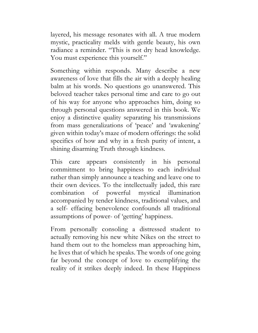layered, his message resonates with all. A true modern mystic, practicality melds with gentle beauty, his own radiance a reminder. "This is not dry head knowledge. You must experience this yourself."

Something within responds. Many describe a new awareness of love that fills the air with a deeply healing balm at his words. No questions go unanswered. This beloved teacher takes personal time and care to go out of his way for anyone who approaches him, doing so through personal questions answered in this book. We enjoy a distinctive quality separating his transmissions from mass generalizations of 'peace' and 'awakening' given within today's maze of modern offerings: the solid specifics of how and why in a fresh purity of intent, a shining disarming Truth through kindness.

This care appears consistently in his personal commitment to bring happiness to each individual rather than simply announce a teaching and leave one to their own devices. To the intellectually jaded, this rare combination of powerful mystical illumination accompanied by tender kindness, traditional values, and a self- effacing benevolence confounds all traditional assumptions of power- of 'getting' happiness.

From personally consoling a distressed student to actually removing his new white Nikes on the street to hand them out to the homeless man approaching him, he lives that of which he speaks. The words of one going far beyond the concept of love to exemplifying the reality of it strikes deeply indeed. In these Happiness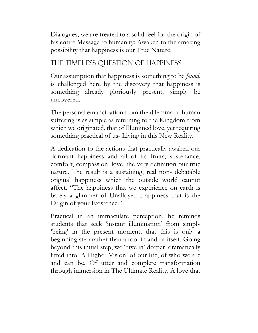Dialogues, we are treated to a solid feel for the origin of his entire Message to humanity: Awaken to the amazing possibility that happiness is our True Nature.

# The Timeless Question of Happiness

Our assumption that happiness is something to be *found*, is challenged here by the discovery that happiness is something already gloriously present, simply be uncovered.

The personal emancipation from the dilemma of human suffering is as simple as returning to the Kingdom from which we originated, that of Illumined love, yet requiring something practical of us- Living in this New Reality.

A dedication to the actions that practically awaken our dormant happiness and all of its fruits; sustenance, comfort, compassion, love, the very definition our true nature. The result is a sustaining, real non- debatable original happiness which the outside world cannot affect. "The happiness that we experience on earth is barely a glimmer of Unalloyed Happiness that is the Origin of your Existence."

Practical in an immaculate perception, he reminds students that seek 'instant illumination' from simply 'being' in the present moment, that this is only a beginning step rather than a tool in and of itself. Going beyond this initial step, we 'dive in' deeper, dramatically lifted into 'A Higher Vision' of our life, of who we are and can be. Of utter and complete transformation through immersion in The Ultimate Reality. A love that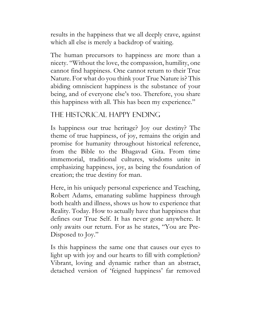results in the happiness that we all deeply crave, against which all else is merely a backdrop of waiting.

The human precursors to happiness are more than a nicety. "Without the love, the compassion, humility, one cannot find happiness. One cannot return to their True Nature. For what do you think your True Nature is? This abiding omniscient happiness is the substance of your being, and of everyone else's too. Therefore, you share this happiness with all. This has been my experience."

### The Historical Happy Ending

Is happiness our true heritage? Joy our destiny? The theme of true happiness, of joy, remains the origin and promise for humanity throughout historical reference, from the Bible to the Bhagavad Gita. From time immemorial, traditional cultures, wisdoms unite in emphasizing happiness, joy, as being the foundation of creation; the true destiny for man.

Here, in his uniquely personal experience and Teaching, Robert Adams, emanating sublime happiness through both health and illness, shows us how to experience that Reality. Today. How to actually have that happiness that defines our True Self. It has never gone anywhere. It only awaits our return. For as he states, "You are Pre-Disposed to Joy."

Is this happiness the same one that causes our eyes to light up with joy and our hearts to fill with completion? Vibrant, loving and dynamic rather than an abstract, detached version of 'feigned happiness' far removed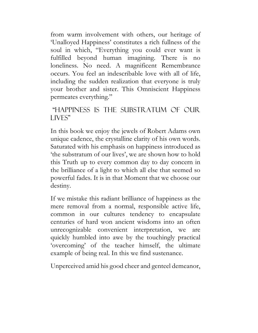from warm involvement with others, our heritage of 'Unalloyed Happiness' constitutes a rich fullness of the soul in which, "Everything you could ever want is fulfilled beyond human imagining. There is no loneliness. No need. A magnificent Remembrance occurs. You feel an indescribable love with all of life, including the sudden realization that everyone is truly your brother and sister. This Omniscient Happiness permeates everything."

#### "Happiness is the Substratum of Our LIVES"

In this book we enjoy the jewels of Robert Adams own unique cadence, the crystalline clarity of his own words. Saturated with his emphasis on happiness introduced as 'the substratum of our lives', we are shown how to hold this Truth up to every common day to day concern in the brilliance of a light to which all else that seemed so powerful fades. It is in that Moment that we choose our destiny.

If we mistake this radiant brilliance of happiness as the mere removal from a normal, responsible active life, common in our cultures tendency to encapsulate centuries of hard won ancient wisdoms into an often unrecognizable convenient interpretation, we are quickly humbled into awe by the touchingly practical 'overcoming' of the teacher himself, the ultimate example of being real. In this we find sustenance.

Unperceived amid his good cheer and genteel demeanor,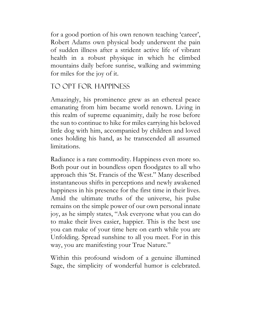for a good portion of his own renown teaching 'career', Robert Adams own physical body underwent the pain of sudden illness after a strident active life of vibrant health in a robust physique in which he climbed mountains daily before sunrise, walking and swimming for miles for the joy of it.

# To Opt for Happiness

Amazingly, his prominence grew as an ethereal peace emanating from him became world renown. Living in this realm of supreme equanimity, daily he rose before the sun to continue to hike for miles carrying his beloved little dog with him, accompanied by children and loved ones holding his hand, as he transcended all assumed limitations.

Radiance is a rare commodity. Happiness even more so. Both pour out in boundless open floodgates to all who approach this 'St. Francis of the West." Many described instantaneous shifts in perceptions and newly awakened happiness in his presence for the first time in their lives. Amid the ultimate truths of the universe, his pulse remains on the simple power of our own personal innate joy, as he simply states, "Ask everyone what you can do to make their lives easier, happier. This is the best use you can make of your time here on earth while you are Unfolding. Spread sunshine to all you meet. For in this way, you are manifesting your True Nature."

Within this profound wisdom of a genuine illumined Sage, the simplicity of wonderful humor is celebrated.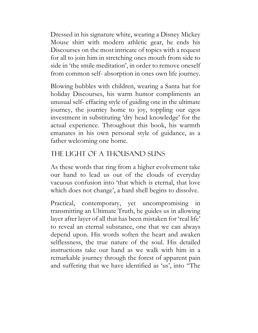Dressed in his signature white, wearing a Disney Mickey Mouse shirt with modern athletic gear, he ends his Discourses on the most intricate of topics with a request for all to join him in stretching ones mouth from side to side in 'the smile meditation', in order to remove oneself from common self- absorption in ones own life journey.

Blowing bubbles with children, wearing a Santa hat for holiday Discourses, his warm humor compliments an unusual self- effacing style of guiding one in the ultimate journey, the journey home to joy, toppling our egos investment in substituting 'dry head knowledge' for the actual experience. Throughout this book, his warmth emanates in his own personal style of guidance, as a father welcoming one home.

# The Light of a Thousand Suns

As these words that ring from a higher evolvement take our hand to lead us out of the clouds of everyday vacuous confusion into 'that which is eternal, that love which does not change', a hard shell begins to dissolve.

Practical, contemporary, yet uncompromising in transmitting an Ultimate Truth, he guides us in allowing layer after layer of all that has been mistaken for 'real life' to reveal an eternal substance, one that we can always depend upon. His words soften the heart and awaken selflessness, the true nature of the soul. His detailed instructions take our hand as we walk with him in a remarkable journey through the forest of apparent pain and suffering that we have identified as 'us', into "The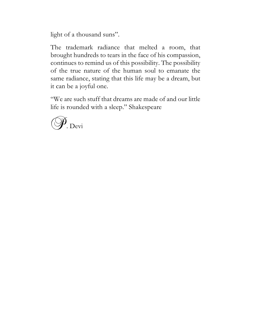light of a thousand suns".

The trademark radiance that melted a room, that brought hundreds to tears in the face of his compassion, continues to remind us of this possibility. The possibility of the true nature of the human soul to emanate the same radiance, stating that this life may be a dream, but it can be a joyful one.

"We are such stuff that dreams are made of and our little life is rounded with a sleep." Shakespeare